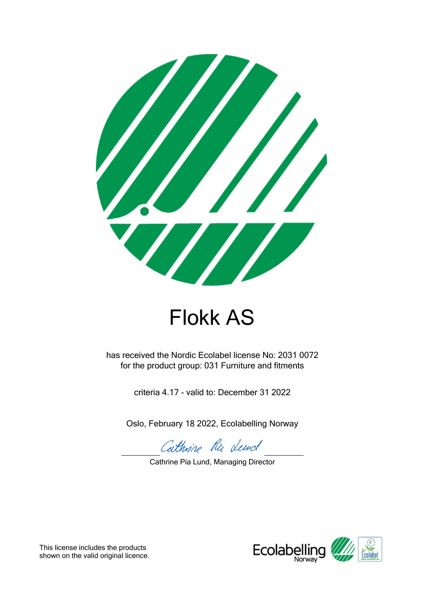

# Flokk AS

has received the Nordic Ecolabel license No: 2031 0072 for the product group: 031 Furniture and fitments

criteria 4.17 - valid to: December 31 2022

Oslo, February 18 2022, Ecolabelling Norway

Cathrine Ru dend

Cathrine Pia Lund, Managing Director



This license includes the products shown on the valid original licence.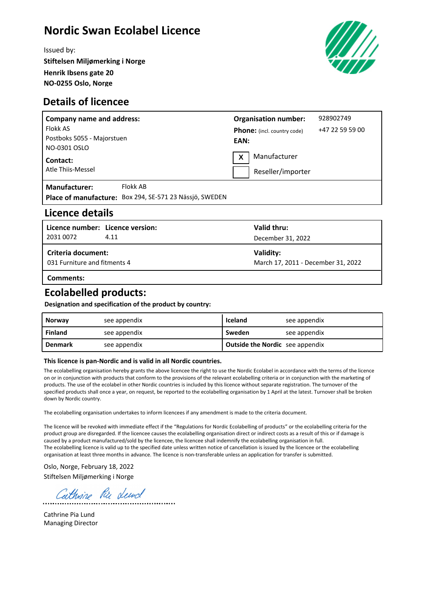# **Nordic Swan Ecolabel Licence**

Issued by: **Stiftelsen Miljømerking i Norge Henrik Ibsens gate 20 NO-0255 Oslo, Norge**



#### **Details of licencee**

| <b>Company name and address:</b> |                                                         | <b>Organisation number:</b> |                                    | 928902749       |  |
|----------------------------------|---------------------------------------------------------|-----------------------------|------------------------------------|-----------------|--|
| Flokk AS                         |                                                         |                             | <b>Phone:</b> (incl. country code) | +47 22 59 59 00 |  |
| Postboks 5055 - Majorstuen       |                                                         | EAN:                        |                                    |                 |  |
| NO-0301 OSLO                     |                                                         |                             |                                    |                 |  |
| Contact:                         |                                                         |                             | Manufacturer<br>X                  |                 |  |
| Atle Thiis-Messel                |                                                         | Reseller/importer           |                                    |                 |  |
| <b>Manufacturer:</b>             | Flokk AB                                                |                             |                                    |                 |  |
|                                  | Place of manufacture: Box 294, SE-571 23 Nässjö, SWEDEN |                             |                                    |                 |  |

#### **Licence details**

| Licence number: Licence version:<br>2031 0072             | 4.11 | Valid thru:<br>December 31, 2022                |
|-----------------------------------------------------------|------|-------------------------------------------------|
| <b>Criteria document:</b><br>031 Furniture and fitments 4 |      | Validity:<br>March 17, 2011 - December 31, 2022 |
|                                                           |      |                                                 |

**Comments:**

#### **Ecolabelled products:**

**Designation and specification of the product by country:**

| <b>Norway</b>  | see appendix | Iceland                                | see appendix |
|----------------|--------------|----------------------------------------|--------------|
| Finland        | see appendix | Sweden                                 | see appendix |
| <b>Denmark</b> | see appendix | <b>Outside the Nordic</b> see appendix |              |

#### **This licence is pan-Nordic and is valid in all Nordic countries.**

The ecolabelling organisation hereby grants the above licencee the right to use the Nordic Ecolabel in accordance with the terms of the licence on or in conjunction with products that conform to the provisions of the relevant ecolabelling criteria or in conjunction with the marketing of products. The use of the ecolabel in other Nordic countries is included by this licence without separate registration. The turnover of the specified products shall once a year, on request, be reported to the ecolabelling organisation by 1 April at the latest. Turnover shall be broken down by Nordic country.

The ecolabelling organisation undertakes to inform licencees if any amendment is made to the criteria document.

The licence will be revoked with immediate effect if the "Regulations for Nordic Ecolabelling of products" or the ecolabelling criteria for the product group are disregarded. If the licencee causes the ecolabelling organisation direct or indirect costs as a result of this or if damage is caused by a product manufactured/sold by the licencee, the licencee shall indemnify the ecolabelling organisation in full. The ecolabelling licence is valid up to the specified date unless written notice of cancellation is issued by the licencee or the ecolabelling organisation at least three months in advance. The licence is non-transferable unless an application for transfer is submitted.

Oslo, Norge, February 18, 2022 Stiftelsen Miljømerking i Norge

Cathrine Rie deed

Cathrine Pia Lund Managing Director